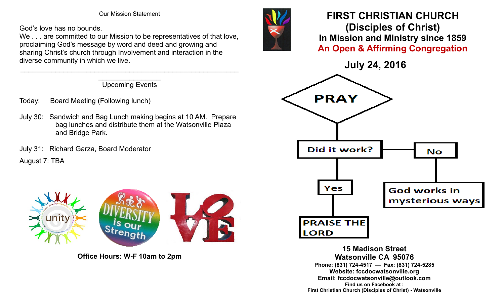Our Mission Statement

God's love has no bounds.

We . . . are committed to our Mission to be representatives of that love, proclaiming God's message by word and deed and growing and sharing Christ's church through Involvement and interaction in the diverse community in which we live.

> $\overline{\phantom{a}}$ Upcoming Events

 $\mathcal{L}_\text{max}$  , and the contribution of the contribution of the contribution of the contribution of the contribution of the contribution of the contribution of the contribution of the contribution of the contribution of t

- Today: Board Meeting (Following lunch)
- July 30: Sandwich and Bag Lunch making begins at 10 AM. Prepare bag lunches and distribute them at the Watsonville Plaza and Bridge Park.
- July 31: Richard Garza, Board Moderator

August 7: TBA







**Office Hours: W-F 10am to 2pm**



## **FIRST CHRISTIAN CHURCH (Disciples of Christ) In Mission and Ministry since 1859 An Open & Affirming Congregation**

**July 24, 2016**



**15 Madison Street Watsonville CA 95076 Phone: (831) 724-4517 — Fax: (831) 724-5285 Website: fccdocwatsonville.org Email: fccdocwatsonville@outlook.com Find us on Facebook at : First Christian Church (Disciples of Christ) - Watsonville**